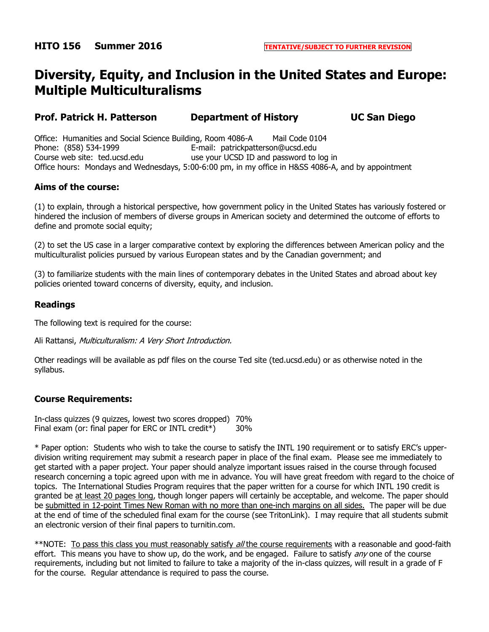# **Diversity, Equity, and Inclusion in the United States and Europe: Multiple Multiculturalisms**

**Prof. Patrick H. Patterson Department of History UC San Diego**

Office: Humanities and Social Science Building, Room 4086-A Mail Code 0104 Phone: (858) 534-1999 E-mail: patrickpatterson@ucsd.edu Course web site: ted.ucsd.edu use your UCSD ID and password to log in Office hours: Mondays and Wednesdays, 5:00-6:00 pm, in my office in H&SS 4086-A, and by appointment

## **Aims of the course:**

(1) to explain, through a historical perspective, how government policy in the United States has variously fostered or hindered the inclusion of members of diverse groups in American society and determined the outcome of efforts to define and promote social equity;

(2) to set the US case in a larger comparative context by exploring the differences between American policy and the multiculturalist policies pursued by various European states and by the Canadian government; and

(3) to familiarize students with the main lines of contemporary debates in the United States and abroad about key policies oriented toward concerns of diversity, equity, and inclusion.

#### **Readings**

The following text is required for the course:

Ali Rattansi, Multiculturalism: A Very Short Introduction.

Other readings will be available as pdf files on the course Ted site (ted.ucsd.edu) or as otherwise noted in the syllabus.

## **Course Requirements:**

In-class quizzes (9 quizzes, lowest two scores dropped) 70% Final exam (or: final paper for ERC or INTL credit\*) 30%

\* Paper option: Students who wish to take the course to satisfy the INTL 190 requirement or to satisfy ERC's upperdivision writing requirement may submit a research paper in place of the final exam. Please see me immediately to get started with a paper project. Your paper should analyze important issues raised in the course through focused research concerning a topic agreed upon with me in advance. You will have great freedom with regard to the choice of topics. The International Studies Program requires that the paper written for a course for which INTL 190 credit is granted be at least 20 pages long, though longer papers will certainly be acceptable, and welcome. The paper should be submitted in 12-point Times New Roman with no more than one-inch margins on all sides. The paper will be due at the end of time of the scheduled final exam for the course (see TritonLink). I may require that all students submit an electronic version of their final papers to turnitin.com.

\*\*NOTE: To pass this class you must reasonably satisfy all the course requirements with a reasonable and good-faith effort. This means you have to show up, do the work, and be engaged. Failure to satisfy  $any$  one of the course requirements, including but not limited to failure to take a majority of the in-class quizzes, will result in a grade of F for the course. Regular attendance is required to pass the course.